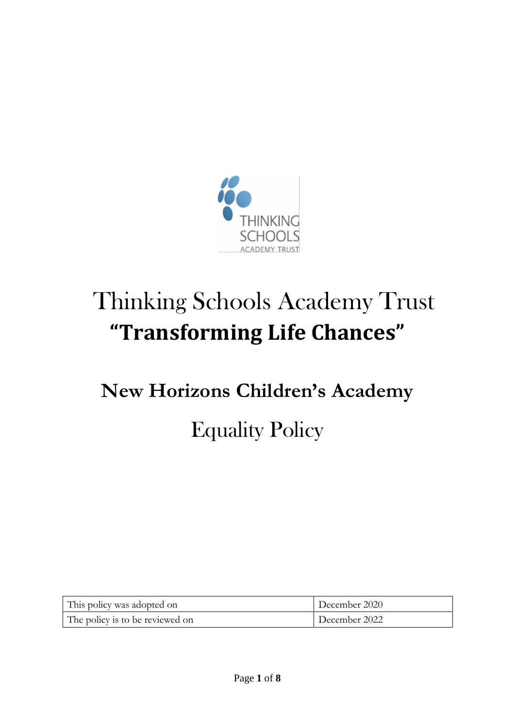

# Thinking Schools Academy Trust **"Transforming Life Chances"**

# **New Horizons Children's Academy**  Equality Policy

| This policy was adopted on      | December 2020 |
|---------------------------------|---------------|
| The policy is to be reviewed on | December 2022 |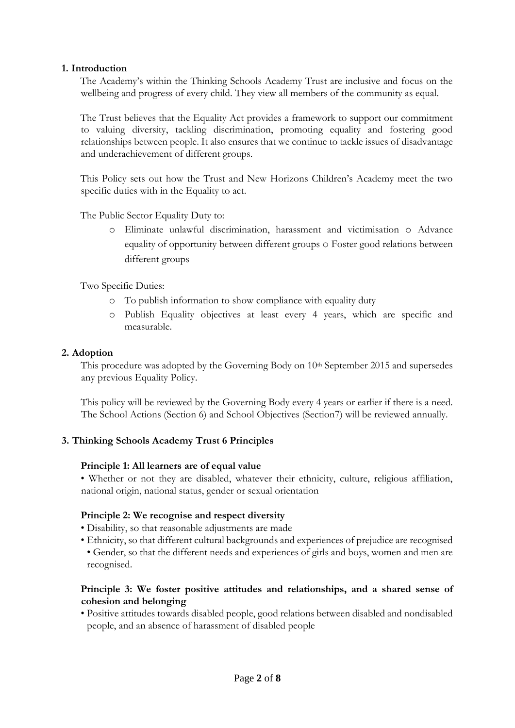#### **1. Introduction**

The Academy's within the Thinking Schools Academy Trust are inclusive and focus on the wellbeing and progress of every child. They view all members of the community as equal.

The Trust believes that the Equality Act provides a framework to support our commitment to valuing diversity, tackling discrimination, promoting equality and fostering good relationships between people. It also ensures that we continue to tackle issues of disadvantage and underachievement of different groups.

This Policy sets out how the Trust and New Horizons Children's Academy meet the two specific duties with in the Equality to act.

The Public Sector Equality Duty to:

o Eliminate unlawful discrimination, harassment and victimisation o Advance equality of opportunity between different groups o Foster good relations between different groups

Two Specific Duties:

- o To publish information to show compliance with equality duty
- o Publish Equality objectives at least every 4 years, which are specific and measurable.

#### **2. Adoption**

This procedure was adopted by the Governing Body on 10<sup>th</sup> September 2015 and supersedes any previous Equality Policy.

This policy will be reviewed by the Governing Body every 4 years or earlier if there is a need. The School Actions (Section 6) and School Objectives (Section7) will be reviewed annually.

#### **3. Thinking Schools Academy Trust 6 Principles**

#### **Principle 1: All learners are of equal value**

• Whether or not they are disabled, whatever their ethnicity, culture, religious affiliation, national origin, national status, gender or sexual orientation

#### **Principle 2: We recognise and respect diversity**

• Disability, so that reasonable adjustments are made

• Ethnicity, so that different cultural backgrounds and experiences of prejudice are recognised

• Gender, so that the different needs and experiences of girls and boys, women and men are recognised.

#### **Principle 3: We foster positive attitudes and relationships, and a shared sense of cohesion and belonging**

• Positive attitudes towards disabled people, good relations between disabled and nondisabled people, and an absence of harassment of disabled people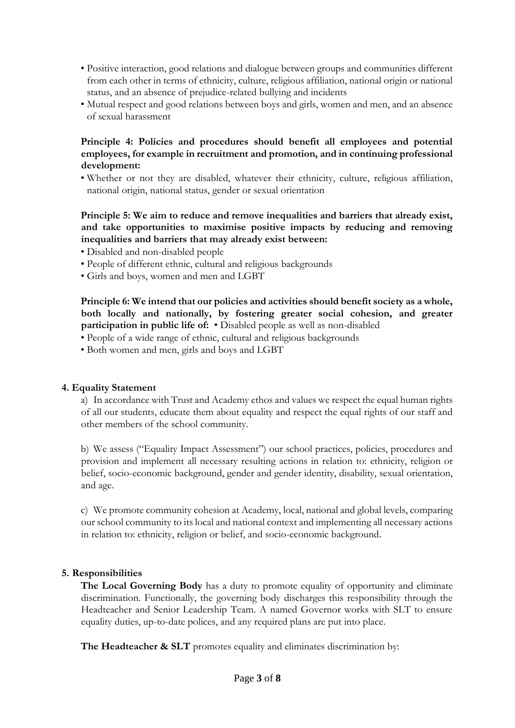- Positive interaction, good relations and dialogue between groups and communities different from each other in terms of ethnicity, culture, religious affiliation, national origin or national status, and an absence of prejudice-related bullying and incidents
- Mutual respect and good relations between boys and girls, women and men, and an absence of sexual harassment

#### **Principle 4: Policies and procedures should benefit all employees and potential employees, for example in recruitment and promotion, and in continuing professional development:**

• Whether or not they are disabled, whatever their ethnicity, culture, religious affiliation, national origin, national status, gender or sexual orientation

#### **Principle 5: We aim to reduce and remove inequalities and barriers that already exist, and take opportunities to maximise positive impacts by reducing and removing inequalities and barriers that may already exist between:**

- Disabled and non-disabled people
- People of different ethnic, cultural and religious backgrounds
- Girls and boys, women and men and LGBT

**Principle 6: We intend that our policies and activities should benefit society as a whole, both locally and nationally, by fostering greater social cohesion, and greater participation in public life of:** • Disabled people as well as non-disabled

• People of a wide range of ethnic, cultural and religious backgrounds

• Both women and men, girls and boys and LGBT

#### **4. Equality Statement**

a) In accordance with Trust and Academy ethos and values we respect the equal human rights of all our students, educate them about equality and respect the equal rights of our staff and other members of the school community.

b) We assess ("Equality Impact Assessment") our school practices, policies, procedures and provision and implement all necessary resulting actions in relation to: ethnicity, religion or belief, socio-economic background, gender and gender identity, disability, sexual orientation, and age.

c) We promote community cohesion at Academy, local, national and global levels, comparing our school community to its local and national context and implementing all necessary actions in relation to: ethnicity, religion or belief, and socio-economic background.

#### **5. Responsibilities**

**The Local Governing Body** has a duty to promote equality of opportunity and eliminate discrimination. Functionally, the governing body discharges this responsibility through the Headteacher and Senior Leadership Team. A named Governor works with SLT to ensure equality duties, up-to-date polices, and any required plans are put into place.

The Headteacher & SLT promotes equality and eliminates discrimination by: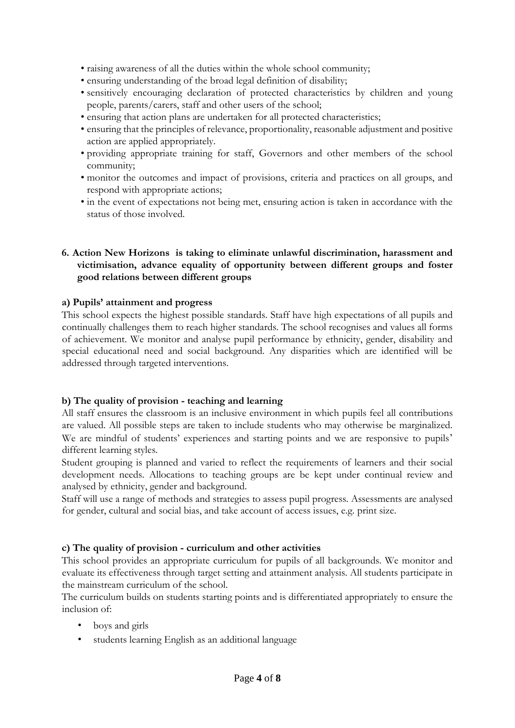- raising awareness of all the duties within the whole school community;
- ensuring understanding of the broad legal definition of disability;
- sensitively encouraging declaration of protected characteristics by children and young people, parents/carers, staff and other users of the school;
- ensuring that action plans are undertaken for all protected characteristics;
- ensuring that the principles of relevance, proportionality, reasonable adjustment and positive action are applied appropriately.
- providing appropriate training for staff, Governors and other members of the school community;
- monitor the outcomes and impact of provisions, criteria and practices on all groups, and respond with appropriate actions;
- in the event of expectations not being met, ensuring action is taken in accordance with the status of those involved.

#### **6. Action New Horizons is taking to eliminate unlawful discrimination, harassment and victimisation, advance equality of opportunity between different groups and foster good relations between different groups**

#### **a) Pupils' attainment and progress**

This school expects the highest possible standards. Staff have high expectations of all pupils and continually challenges them to reach higher standards. The school recognises and values all forms of achievement. We monitor and analyse pupil performance by ethnicity, gender, disability and special educational need and social background. Any disparities which are identified will be addressed through targeted interventions.

# **b) The quality of provision - teaching and learning**

All staff ensures the classroom is an inclusive environment in which pupils feel all contributions are valued. All possible steps are taken to include students who may otherwise be marginalized. We are mindful of students' experiences and starting points and we are responsive to pupils' different learning styles.

Student grouping is planned and varied to reflect the requirements of learners and their social development needs. Allocations to teaching groups are be kept under continual review and analysed by ethnicity, gender and background.

Staff will use a range of methods and strategies to assess pupil progress. Assessments are analysed for gender, cultural and social bias, and take account of access issues, e.g. print size.

# **c) The quality of provision - curriculum and other activities**

This school provides an appropriate curriculum for pupils of all backgrounds. We monitor and evaluate its effectiveness through target setting and attainment analysis. All students participate in the mainstream curriculum of the school.

The curriculum builds on students starting points and is differentiated appropriately to ensure the inclusion of:

- boys and girls
- students learning English as an additional language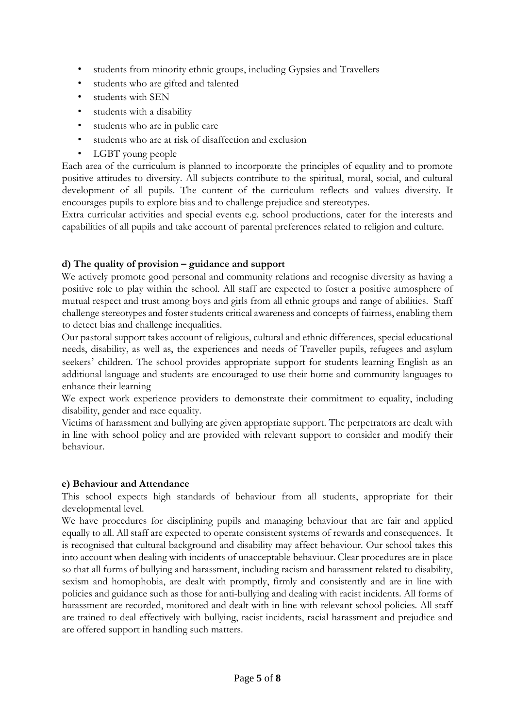- students from minority ethnic groups, including Gypsies and Travellers
- students who are gifted and talented
- students with SEN
- students with a disability
- students who are in public care
- students who are at risk of disaffection and exclusion
- LGBT young people

Each area of the curriculum is planned to incorporate the principles of equality and to promote positive attitudes to diversity. All subjects contribute to the spiritual, moral, social, and cultural development of all pupils. The content of the curriculum reflects and values diversity. It encourages pupils to explore bias and to challenge prejudice and stereotypes.

Extra curricular activities and special events e.g. school productions, cater for the interests and capabilities of all pupils and take account of parental preferences related to religion and culture.

### **d) The quality of provision – guidance and support**

We actively promote good personal and community relations and recognise diversity as having a positive role to play within the school. All staff are expected to foster a positive atmosphere of mutual respect and trust among boys and girls from all ethnic groups and range of abilities. Staff challenge stereotypes and foster students critical awareness and concepts of fairness, enabling them to detect bias and challenge inequalities.

Our pastoral support takes account of religious, cultural and ethnic differences, special educational needs, disability, as well as, the experiences and needs of Traveller pupils, refugees and asylum seekers' children. The school provides appropriate support for students learning English as an additional language and students are encouraged to use their home and community languages to enhance their learning

We expect work experience providers to demonstrate their commitment to equality, including disability, gender and race equality.

Victims of harassment and bullying are given appropriate support. The perpetrators are dealt with in line with school policy and are provided with relevant support to consider and modify their behaviour.

#### **e) Behaviour and Attendance**

This school expects high standards of behaviour from all students, appropriate for their developmental level.

We have procedures for disciplining pupils and managing behaviour that are fair and applied equally to all. All staff are expected to operate consistent systems of rewards and consequences. It is recognised that cultural background and disability may affect behaviour. Our school takes this into account when dealing with incidents of unacceptable behaviour. Clear procedures are in place so that all forms of bullying and harassment, including racism and harassment related to disability, sexism and homophobia, are dealt with promptly, firmly and consistently and are in line with policies and guidance such as those for anti-bullying and dealing with racist incidents. All forms of harassment are recorded, monitored and dealt with in line with relevant school policies. All staff are trained to deal effectively with bullying, racist incidents, racial harassment and prejudice and are offered support in handling such matters.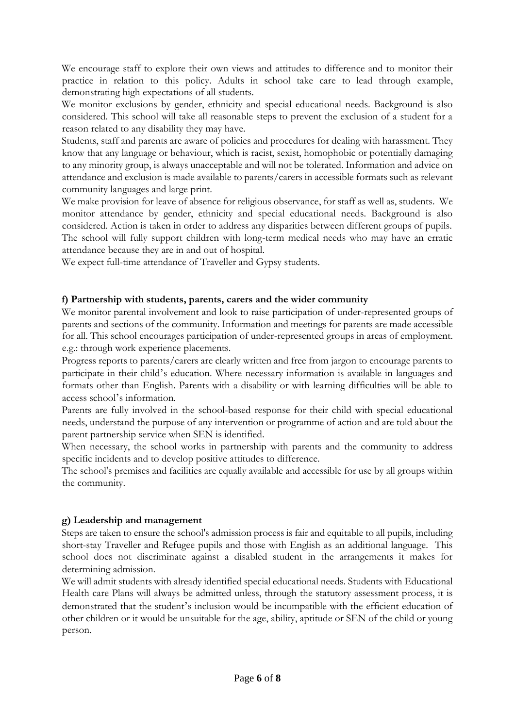We encourage staff to explore their own views and attitudes to difference and to monitor their practice in relation to this policy. Adults in school take care to lead through example, demonstrating high expectations of all students.

We monitor exclusions by gender, ethnicity and special educational needs. Background is also considered. This school will take all reasonable steps to prevent the exclusion of a student for a reason related to any disability they may have.

Students, staff and parents are aware of policies and procedures for dealing with harassment. They know that any language or behaviour, which is racist, sexist, homophobic or potentially damaging to any minority group, is always unacceptable and will not be tolerated. Information and advice on attendance and exclusion is made available to parents/carers in accessible formats such as relevant community languages and large print.

We make provision for leave of absence for religious observance, for staff as well as, students. We monitor attendance by gender, ethnicity and special educational needs. Background is also considered. Action is taken in order to address any disparities between different groups of pupils. The school will fully support children with long-term medical needs who may have an erratic attendance because they are in and out of hospital.

We expect full-time attendance of Traveller and Gypsy students.

#### **f) Partnership with students, parents, carers and the wider community**

We monitor parental involvement and look to raise participation of under-represented groups of parents and sections of the community. Information and meetings for parents are made accessible for all. This school encourages participation of under-represented groups in areas of employment. e.g.: through work experience placements.

Progress reports to parents/carers are clearly written and free from jargon to encourage parents to participate in their child's education. Where necessary information is available in languages and formats other than English. Parents with a disability or with learning difficulties will be able to access school's information.

Parents are fully involved in the school-based response for their child with special educational needs, understand the purpose of any intervention or programme of action and are told about the parent partnership service when SEN is identified.

When necessary, the school works in partnership with parents and the community to address specific incidents and to develop positive attitudes to difference.

The school's premises and facilities are equally available and accessible for use by all groups within the community.

#### **g) Leadership and management**

Steps are taken to ensure the school's admission process is fair and equitable to all pupils, including short-stay Traveller and Refugee pupils and those with English as an additional language. This school does not discriminate against a disabled student in the arrangements it makes for determining admission.

We will admit students with already identified special educational needs. Students with Educational Health care Plans will always be admitted unless, through the statutory assessment process, it is demonstrated that the student's inclusion would be incompatible with the efficient education of other children or it would be unsuitable for the age, ability, aptitude or SEN of the child or young person.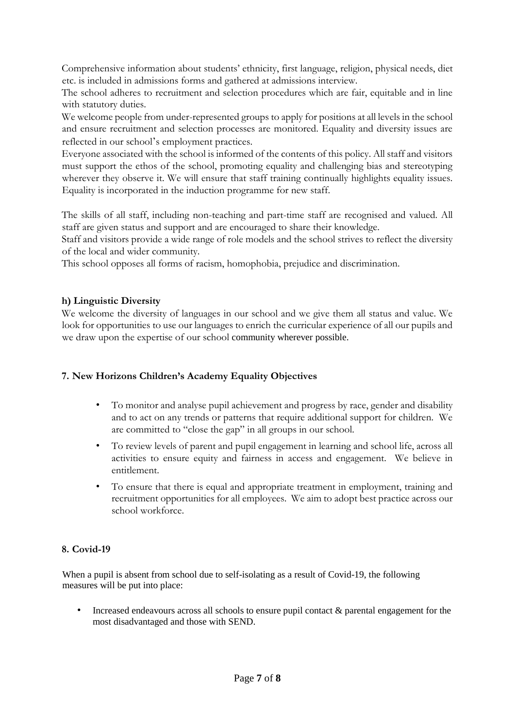Comprehensive information about students' ethnicity, first language, religion, physical needs, diet etc. is included in admissions forms and gathered at admissions interview.

The school adheres to recruitment and selection procedures which are fair, equitable and in line with statutory duties.

We welcome people from under-represented groups to apply for positions at all levels in the school and ensure recruitment and selection processes are monitored. Equality and diversity issues are reflected in our school's employment practices.

Everyone associated with the school is informed of the contents of this policy. All staff and visitors must support the ethos of the school, promoting equality and challenging bias and stereotyping wherever they observe it. We will ensure that staff training continually highlights equality issues. Equality is incorporated in the induction programme for new staff.

The skills of all staff, including non-teaching and part-time staff are recognised and valued. All staff are given status and support and are encouraged to share their knowledge.

Staff and visitors provide a wide range of role models and the school strives to reflect the diversity of the local and wider community.

This school opposes all forms of racism, homophobia, prejudice and discrimination.

#### **h) Linguistic Diversity**

We welcome the diversity of languages in our school and we give them all status and value. We look for opportunities to use our languages to enrich the curricular experience of all our pupils and we draw upon the expertise of our school community wherever possible.

#### **7. New Horizons Children's Academy Equality Objectives**

- To monitor and analyse pupil achievement and progress by race, gender and disability and to act on any trends or patterns that require additional support for children. We are committed to "close the gap" in all groups in our school.
- To review levels of parent and pupil engagement in learning and school life, across all activities to ensure equity and fairness in access and engagement. We believe in entitlement.
- To ensure that there is equal and appropriate treatment in employment, training and recruitment opportunities for all employees. We aim to adopt best practice across our school workforce.

#### **8. Covid-19**

When a pupil is absent from school due to self-isolating as a result of Covid-19, the following measures will be put into place:

• Increased endeavours across all schools to ensure pupil contact & parental engagement for the most disadvantaged and those with SEND.